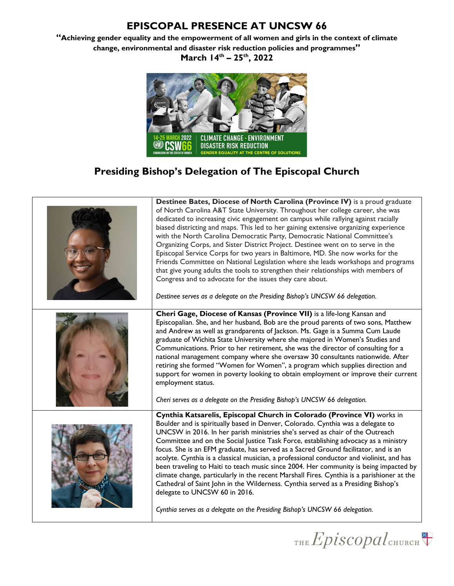**"Achieving gender equality and the empowerment of all women and girls in the context of climate change, environmental and disaster risk reduction policies and programmes" March 14th – 25th, 2022**



# **Presiding Bishop's Delegation of The Episcopal Church**

| Destinee Bates, Diocese of North Carolina (Province IV) is a proud graduate<br>of North Carolina A&T State University. Throughout her college career, she was<br>dedicated to increasing civic engagement on campus while rallying against racially<br>biased districting and maps. This led to her gaining extensive organizing experience<br>with the North Carolina Democratic Party, Democratic National Committee's<br>Organizing Corps, and Sister District Project. Destinee went on to serve in the<br>Episcopal Service Corps for two years in Baltimore, MD. She now works for the<br>Friends Committee on National Legislation where she leads workshops and programs<br>that give young adults the tools to strengthen their relationships with members of<br>Congress and to advocate for the issues they care about.<br>Destinee serves as a delegate on the Presiding Bishop's UNCSW 66 delegation. |
|--------------------------------------------------------------------------------------------------------------------------------------------------------------------------------------------------------------------------------------------------------------------------------------------------------------------------------------------------------------------------------------------------------------------------------------------------------------------------------------------------------------------------------------------------------------------------------------------------------------------------------------------------------------------------------------------------------------------------------------------------------------------------------------------------------------------------------------------------------------------------------------------------------------------|
| Cheri Gage, Diocese of Kansas (Province VII) is a life-long Kansan and<br>Episcopalian. She, and her husband, Bob are the proud parents of two sons, Matthew<br>and Andrew as well as grandparents of Jackson. Ms. Gage is a Summa Cum Laude<br>graduate of Wichita State University where she majored in Women's Studies and<br>Communications. Prior to her retirement, she was the director of consulting for a<br>national management company where she oversaw 30 consultants nationwide. After<br>retiring she formed "Women for Women", a program which supplies direction and<br>support for women in poverty looking to obtain employment or improve their current<br>employment status.<br>Cheri serves as a delegate on the Presiding Bishop's UNCSW 66 delegation.                                                                                                                                     |
| Cynthia Katsarelis, Episcopal Church in Colorado (Province VI) works in<br>Boulder and is spiritually based in Denver, Colorado. Cynthia was a delegate to<br>UNCSW in 2016. In her parish ministries she's served as chair of the Outreach<br>Committee and on the Social Justice Task Force, establishing advocacy as a ministry<br>focus. She is an EFM graduate, has served as a Sacred Ground facilitator, and is an<br>acolyte. Cynthia is a classical musician, a professional conductor and violinist, and has<br>been traveling to Haiti to teach music since 2004. Her community is being impacted by<br>climate change, particularly in the recent Marshall Fires. Cynthia is a parishioner at the<br>Cathedral of Saint John in the Wilderness. Cynthia served as a Presiding Bishop's<br>delegate to UNCSW 60 in 2016.<br>Cynthia serves as a delegate on the Presiding Bishop's UNCSW 66 delegation. |

THE Episcopal CHURCH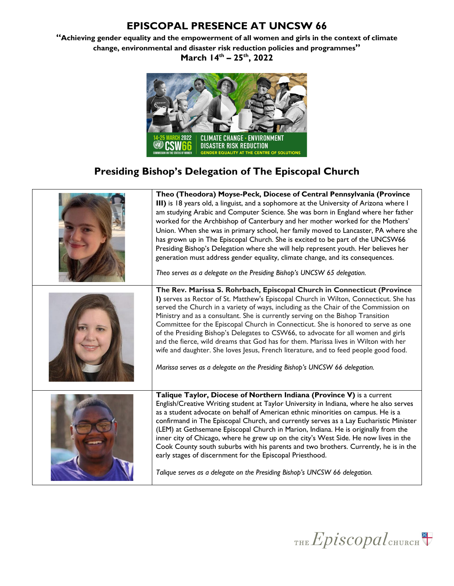**"Achieving gender equality and the empowerment of all women and girls in the context of climate change, environmental and disaster risk reduction policies and programmes" March 14th – 25th, 2022**



# **Presiding Bishop's Delegation of The Episcopal Church**



THE  $Epis copal$ CHURCH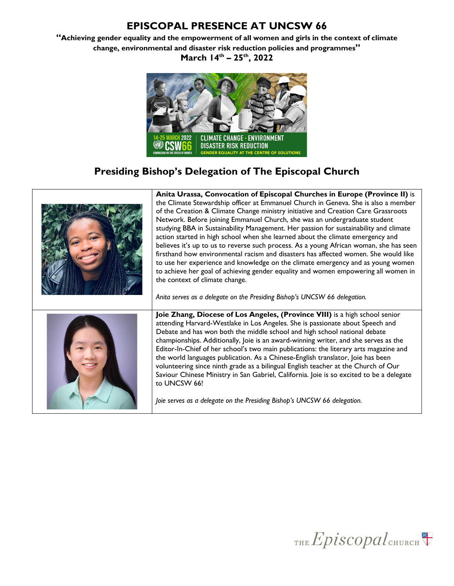**"Achieving gender equality and the empowerment of all women and girls in the context of climate change, environmental and disaster risk reduction policies and programmes" March 14th – 25th, 2022**



#### **Presiding Bishop's Delegation of The Episcopal Church**



THE  $Epis copal$ CHURCH